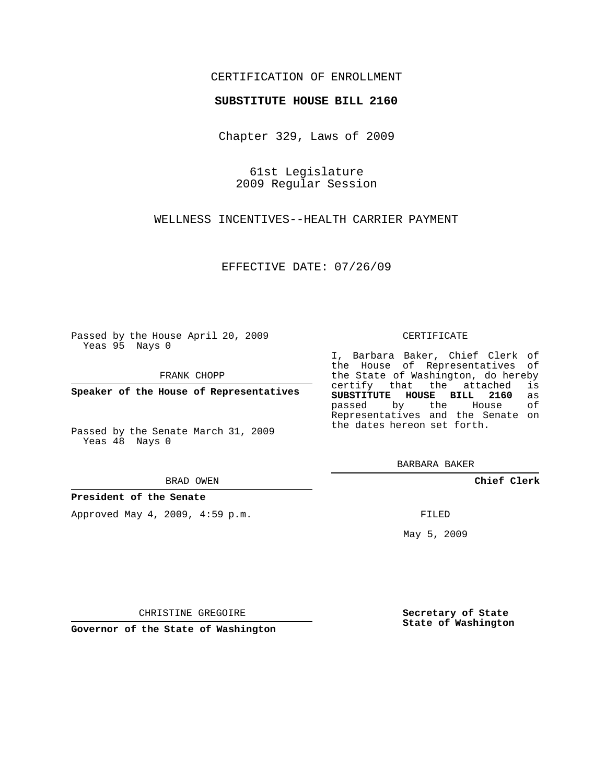## CERTIFICATION OF ENROLLMENT

### **SUBSTITUTE HOUSE BILL 2160**

Chapter 329, Laws of 2009

61st Legislature 2009 Regular Session

WELLNESS INCENTIVES--HEALTH CARRIER PAYMENT

EFFECTIVE DATE: 07/26/09

Passed by the House April 20, 2009 Yeas 95 Nays 0

FRANK CHOPP

**Speaker of the House of Representatives**

Passed by the Senate March 31, 2009 Yeas 48 Nays 0

#### BRAD OWEN

#### **President of the Senate**

Approved May 4, 2009, 4:59 p.m.

#### CERTIFICATE

I, Barbara Baker, Chief Clerk of the House of Representatives of the State of Washington, do hereby<br>certify that the attached is certify that the attached **SUBSTITUTE HOUSE BILL 2160** as passed by the Representatives and the Senate on the dates hereon set forth.

BARBARA BAKER

**Chief Clerk**

FILED

May 5, 2009

**Secretary of State State of Washington**

CHRISTINE GREGOIRE

**Governor of the State of Washington**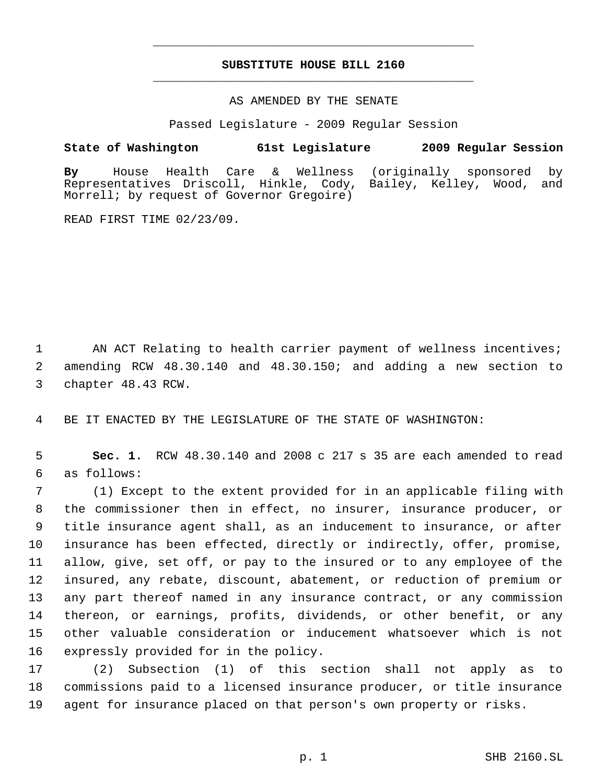# **SUBSTITUTE HOUSE BILL 2160** \_\_\_\_\_\_\_\_\_\_\_\_\_\_\_\_\_\_\_\_\_\_\_\_\_\_\_\_\_\_\_\_\_\_\_\_\_\_\_\_\_\_\_\_\_

\_\_\_\_\_\_\_\_\_\_\_\_\_\_\_\_\_\_\_\_\_\_\_\_\_\_\_\_\_\_\_\_\_\_\_\_\_\_\_\_\_\_\_\_\_

### AS AMENDED BY THE SENATE

Passed Legislature - 2009 Regular Session

## **State of Washington 61st Legislature 2009 Regular Session**

**By** House Health Care & Wellness (originally sponsored by Representatives Driscoll, Hinkle, Cody, Morrell; by request of Governor Gregoire)

READ FIRST TIME 02/23/09.

1 AN ACT Relating to health carrier payment of wellness incentives; 2 amending RCW 48.30.140 and 48.30.150; and adding a new section to 3 chapter 48.43 RCW.

4 BE IT ENACTED BY THE LEGISLATURE OF THE STATE OF WASHINGTON:

 5 **Sec. 1.** RCW 48.30.140 and 2008 c 217 s 35 are each amended to read 6 as follows:

 (1) Except to the extent provided for in an applicable filing with the commissioner then in effect, no insurer, insurance producer, or title insurance agent shall, as an inducement to insurance, or after insurance has been effected, directly or indirectly, offer, promise, allow, give, set off, or pay to the insured or to any employee of the insured, any rebate, discount, abatement, or reduction of premium or any part thereof named in any insurance contract, or any commission thereon, or earnings, profits, dividends, or other benefit, or any other valuable consideration or inducement whatsoever which is not expressly provided for in the policy.

17 (2) Subsection (1) of this section shall not apply as to 18 commissions paid to a licensed insurance producer, or title insurance 19 agent for insurance placed on that person's own property or risks.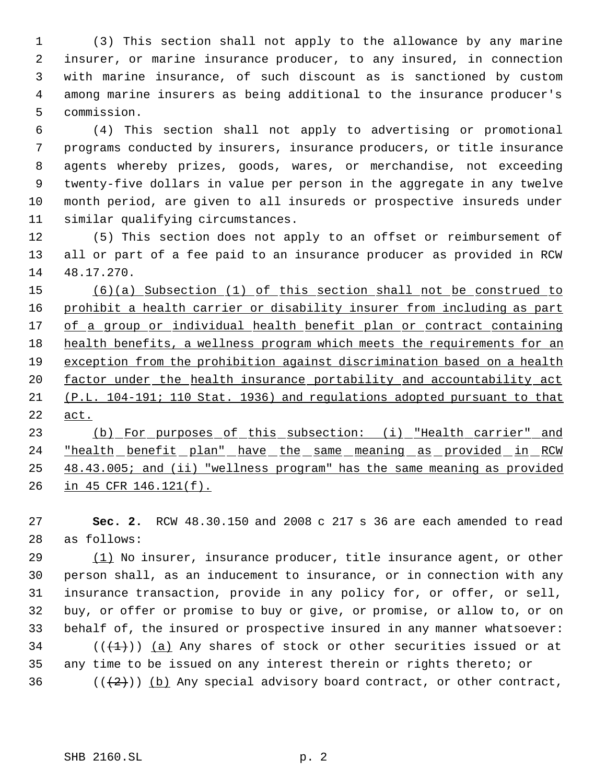(3) This section shall not apply to the allowance by any marine insurer, or marine insurance producer, to any insured, in connection with marine insurance, of such discount as is sanctioned by custom among marine insurers as being additional to the insurance producer's commission.

 (4) This section shall not apply to advertising or promotional programs conducted by insurers, insurance producers, or title insurance agents whereby prizes, goods, wares, or merchandise, not exceeding twenty-five dollars in value per person in the aggregate in any twelve month period, are given to all insureds or prospective insureds under similar qualifying circumstances.

 (5) This section does not apply to an offset or reimbursement of all or part of a fee paid to an insurance producer as provided in RCW 48.17.270.

 (6)(a) Subsection (1) of this section shall not be construed to 16 prohibit a health carrier or disability insurer from including as part 17 of a group or individual health benefit plan or contract containing 18 health benefits, a wellness program which meets the requirements for an exception from the prohibition against discrimination based on a health factor under the health insurance portability and accountability act (P.L. 104-191; 110 Stat. 1936) and regulations adopted pursuant to that act.

 (b) For purposes of this subsection: (i) "Health carrier" and "health benefit plan" have the same meaning as provided in RCW 48.43.005; and (ii) "wellness program" has the same meaning as provided in 45 CFR 146.121(f).

 **Sec. 2.** RCW 48.30.150 and 2008 c 217 s 36 are each amended to read as follows:

29 (1) No insurer, insurance producer, title insurance agent, or other person shall, as an inducement to insurance, or in connection with any insurance transaction, provide in any policy for, or offer, or sell, buy, or offer or promise to buy or give, or promise, or allow to, or on behalf of, the insured or prospective insured in any manner whatsoever: 34 ( $(\overline{+1})$ ) (a) Any shares of stock or other securities issued or at any time to be issued on any interest therein or rights thereto; or 36 ( $(\frac{2}{2})$ ) (b) Any special advisory board contract, or other contract,